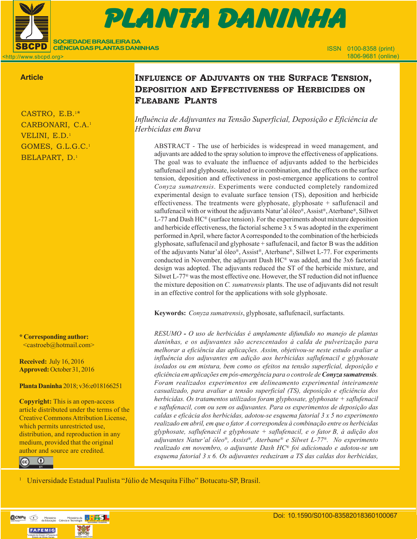

# CASTRO, E.B. et al. Influence of adjustice of adjustice tension, deposition and effectiveness of herbitans in 151103-PD-2016 (9 př. n. l.) Prova Gráfica Gráfica (9 př. n. l.) Prova Gráfica (9 př. n. l.) Prova Gráfica (9 PLANTA DANINHA

<http://www.sbcpd.org>

## **Article**

CASTRO, E.B.1\* CARBONARI, C.A.1 VELINI, E.D.<sup>1</sup> GOMES, G.L.G.C.1 BELAPART, D.1

**SOCIEDADE BRASILEIRA DA CIÊNCIA DAS PLANTAS DANINHAS**

**\* Corresponding author:** <castroeb@hotmail.com>

**Received:** July 16, 2016 **Approved:** October 31, 2016

**Planta Daninha** 2018; v36:e018166251

**Copyright:** This is an open-access article distributed under the terms of the Creative Commons Attribution License, which permits unrestricted use, distribution, and reproduction in any medium, provided that the original author and source are credited.



## **INFLUENCE OF ADJUVANTS ON THE SURFACE TENSION, DEPOSITION AND EFFECTIVENESS OF HERBICIDES ON FLEABANE PLANTS**

*Influência de Adjuvantes na Tensão Superficial, Deposição e Eficiência de Herbicidas em Buva*

ABSTRACT - The use of herbicides is widespread in weed management, and adjuvants are added to the spray solution to improve the effectiveness of applications. The goal was to evaluate the influence of adjuvants added to the herbicides saflufenacil and glyphosate, isolated or in combination, and the effects on the surface tension, deposition and effectiveness in post-emergence applications to control *Conyza sumatrensis*. Experiments were conducted completely randomized experimental design to evaluate surface tension (TS), deposition and herbicide effectiveness. The treatments were glyphosate, glyphosate + saflufenacil and saflufenacil with or without the adjuvants Natur'al óleo®, Assist®, Aterbane®, Sillwet L-77 and Dash HC® (surface tension). For the experiments about mixture deposition and herbicide effectiveness, the factorial scheme 3 x 5 was adopted in the experiment performed in April, where factor A corresponded to the combination of the herbicieds glyphosate, saflufenacil and glyphosate + saflufenacil, and factor B was the addition of the adjuvants Natur'al óleo®, Assist®, Aterbane®, Sillwet L-77. For experiments conducted in November, the adjuvant Dash HC® was added, and the 3x6 factorial design was adopted. The adjuvants reduced the ST of the herbicide mixture, and Silwet L-77® was the most effective one. However, the ST reduction did not influence the mixture deposition on *C. sumatrensis* plants. The use of adjuvants did not result in an effective control for the applications with sole glyphosate.

**Keywords:** *Conyza sumatrensis*, glyphosate, saflufenacil, surfactants.

*RESUMO - O uso de herbicidas é amplamente difundido no manejo de plantas daninhas, e os adjuvantes são acrescentados à calda de pulverização para melhorar a eficiência das aplicações. Assim, objetivou-se neste estudo avaliar a influência dos adjuvantes em adição aos herbicidas saflufenacil e glyphosate isolados ou em mistura, bem como os efeitos na tensão superficial, deposição e eficiência em aplicações em pós-emergência para o controle de Conyza sumatrensis. Foram realizados experimentos em delineamento experimental inteiramente casualizado, para avaliar a tensão superficial (TS), deposição e eficiência dos herbicidas. Os tratamentos utilizados foram glyphosate, glyphosate + saflufenacil e saflufenacil, com ou sem os adjuvantes. Para os experimentos de deposição das caldas e eficácia dos herbicidas, adotou-se esquema fatorial 3 x 5 no experimento realizado em abril, em que o fator A correspondeu à combinação entre os herbicidas glyphosate, saflufenacil e glyphosate + saflufenacil, e o fator B, à adição dos adjuvantes Natur'al óleo®, Assist®, Aterbane® e Silwet L-77®. No experimento realizado em novembro, o adjuvante Dash HC® foi adicionado e adotou-se um esquema fatorial 3 x 6. Os adjuvantes reduziram a TS das caldas dos herbicidas,*

<sup>1</sup> Universidade Estadual Paulista "Júlio de Mesquita Filho" Botucatu-SP, Brasil.

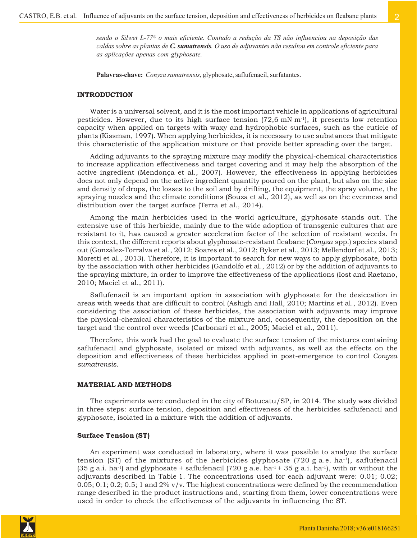*sendo o Silwet L-77® o mais eficiente. Contudo a redução da TS não influenciou na deposição das caldas sobre as plantas de C. sumatrensis. O uso de adjuvantes não resultou em controle eficiente para as aplicações apenas com glyphosate.*

**Palavras-chave:** *Conyza sumatrensis*, glyphosate, saflufenacil, surfatantes.

#### **INTRODUCTION**

Water is a universal solvent, and it is the most important vehicle in applications of agricultural pesticides. However, due to its high surface tension  $(72,6 \text{ mM m}^{-1})$ , it presents low retention capacity when applied on targets with waxy and hydrophobic surfaces, such as the cuticle of plants (Kissman, 1997). When applying herbicides, it is necessary to use substances that mitigate this characteristic of the application mixture or that provide better spreading over the target.

Adding adjuvants to the spraying mixture may modify the physical-chemical characteristics to increase application effectiveness and target covering and it may help the absorption of the active ingredient (Mendonça et al., 2007). However, the effectiveness in applying herbicides does not only depend on the active ingredient quantity poured on the plant, but also on the size and density of drops, the losses to the soil and by drifting, the equipment, the spray volume, the spraying nozzles and the climate conditions (Souza et al., 2012), as well as on the evenness and distribution over the target surface (Terra et al., 2014).

Among the main herbicides used in the world agriculture, glyphosate stands out. The extensive use of this herbicide, mainly due to the wide adoption of transgenic cultures that are resistant to it, has caused a greater acceleration factor of the selection of resistant weeds. In this context, the different reports about glyphosate-resistant fleabane (*Conyza* spp.) species stand out (González-Torralva et al., 2012; Soares et al., 2012; Byker et al., 2013; Mellendorf et al., 2013; Moretti et al., 2013). Therefore, it is important to search for new ways to apply glyphosate, both by the association with other herbicides (Gandolfo et al., 2012) or by the addition of adjuvants to the spraying mixture, in order to improve the effectiveness of the applications (Iost and Raetano, 2010; Maciel et al., 2011).

Saflufenacil is an important option in association with glyphosate for the desiccation in areas with weeds that are difficult to control (Ashigh and Hall, 2010; Martins et al., 2012). Even considering the association of these herbicides, the association with adjuvants may improve the physical-chemical characteristics of the mixture and, consequently, the deposition on the target and the control over weeds (Carbonari et al., 2005; Maciel et al., 2011).

Therefore, this work had the goal to evaluate the surface tension of the mixtures containing saflufenacil and glyphosate, isolated or mixed with adjuvants, as well as the effects on the deposition and effectiveness of these herbicides applied in post-emergence to control *Conyza sumatrensis*.

#### **MATERIAL AND METHODS**

The experiments were conducted in the city of Botucatu/SP, in 2014. The study was divided in three steps: surface tension, deposition and effectiveness of the herbicides saflufenacil and glyphosate, isolated in a mixture with the addition of adjuvants.

#### **Surface Tension (ST)**

An experiment was conducted in laboratory, where it was possible to analyze the surface tension (ST) of the mixtures of the herbicides glyphosate (720 g a.e. ha-1), saflufenacil  $(35 \text{ g a.i.} \text{ ha}^{-1})$  and glyphosate + saflufenacil  $(720 \text{ g a.e.} \text{ ha}^{-1} + 35 \text{ g a.i.} \text{ ha}^{-1})$ , with or without the adjuvants described in Table 1. The concentrations used for each adjuvant were: 0.01; 0.02;  $0.05; 0.1; 0.2; 0.5; 1$  and  $2\%$  v/v. The highest concentrations were defined by the recommendation range described in the product instructions and, starting from them, lower concentrations were used in order to check the effectiveness of the adjuvants in influencing the ST.

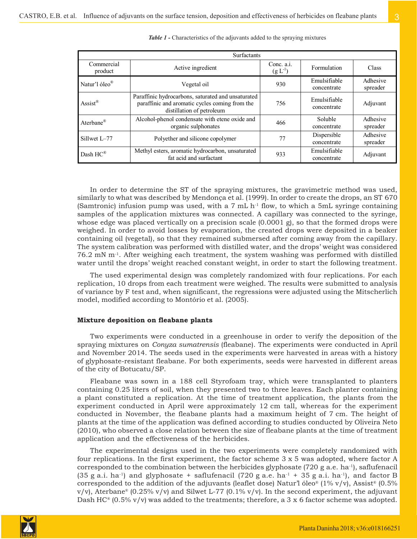| Surfactants                 |                                                                                                                                          |                                    |                             |                      |  |  |
|-----------------------------|------------------------------------------------------------------------------------------------------------------------------------------|------------------------------------|-----------------------------|----------------------|--|--|
| Commercial<br>product       | Active ingredient                                                                                                                        | Conc. $a.i.$<br>$(g L^{-1})$       | Formulation                 | <b>Class</b>         |  |  |
| Natur'l óleo <sup>®</sup>   | Vegetal oil                                                                                                                              | Emulsifiable<br>930<br>concentrate |                             | Adhesive<br>spreader |  |  |
| $\text{Assist}^{\circledR}$ | Paraffinic hydrocarbons, saturated and unsaturated<br>paraffinic and aromatic cycles coming from the<br>756<br>distillation of petroleum |                                    | Emulsifiable<br>concentrate | Adjuvant             |  |  |
| Aterbane®                   | Alcohol-phenol condensate with etene oxide and<br>organic sulphonates                                                                    | 466                                | Soluble<br>concentrate      | Adhesive<br>spreader |  |  |
| Sillwet L-77                | Polyether and silicone copolymer                                                                                                         | 77                                 | Dispersible<br>concentrate  | Adhesive<br>spreader |  |  |
| Dash HC®                    | Methyl esters, aromatic hydrocarbon, unsaturated<br>fat acid and surfactant                                                              | 933                                | Emulsifiable<br>concentrate | Adjuvant             |  |  |

*Table 1 -* Characteristics of the adjuvants added to the spraying mixtures

In order to determine the ST of the spraying mixtures, the gravimetric method was used, similarly to what was described by Mendonça et al. (1999). In order to create the drops, an ST 670 (Samtronic) infusion pump was used, with a 7 mL  $h^{-1}$  flow, to which a 5mL syringe containing samples of the application mixtures was connected. A capillary was connected to the syringe, whose edge was placed vertically on a precision scale (0.0001 g), so that the formed drops were weighed. In order to avoid losses by evaporation, the created drops were deposited in a beaker containing oil (vegetal), so that they remained submersed after coming away from the capillary. The system calibration was performed with distilled water, and the drops' weight was considered  $76.2$  mN m<sup>-1</sup>. After weighing each treatment, the system washing was performed with distilled water until the drops' weight reached constant weight, in order to start the following treatment.

The used experimental design was completely randomized with four replications. For each replication, 10 drops from each treatment were weighed. The results were submitted to analysis of variance by F test and, when significant, the regressions were adjusted using the Mitscherlich model, modified according to Montório et al. (2005).

#### **Mixture deposition on fleabane plants**

Two experiments were conducted in a greenhouse in order to verify the deposition of the spraying mixtures on *Conyza sumatrensis* (fleabane). The experiments were conducted in April and November 2014. The seeds used in the experiments were harvested in areas with a history of glyphosate-resistant fleabane. For both experiments, seeds were harvested in different areas of the city of Botucatu/SP.

Fleabane was sown in a 188 cell Styrofoam tray, which were transplanted to planters containing 0.25 liters of soil, when they presented two to three leaves. Each planter containing a plant constituted a replication. At the time of treatment application, the plants from the experiment conducted in April were approximately 12 cm tall, whereas for the experiment conducted in November, the fleabane plants had a maximum height of 7 cm. The height of plants at the time of the application was defined according to studies conducted by Oliveira Neto (2010), who observed a close relation between the size of fleabane plants at the time of treatment application and the effectiveness of the herbicides.

The experimental designs used in the two experiments were completely randomized with four replications. In the first experiment, the factor scheme 3 x 5 was adopted, where factor A corresponded to the combination between the herbicides glyphosate (720 g a.e. ha-1), saflufenacil  $(35 \text{ g a.i.} \text{ ha}^{-1})$  and glyphosate + saflufenacil  $(720 \text{ g a.e.} \text{ ha}^{-1} + 35 \text{ g a.i.} \text{ ha}^{-1})$ , and factor B corresponded to the addition of the adjuvants (leaflet dose) Natur'l óleo® (1% v/v), Assist® (0.5%  $v/v$ , Aterbane® (0.25% v/v) and Silwet L-77 (0.1% v/v). In the second experiment, the adjuvant Dash HC<sup>®</sup> (0.5% v/v) was added to the treatments; therefore, a 3 x 6 factor scheme was adopted.

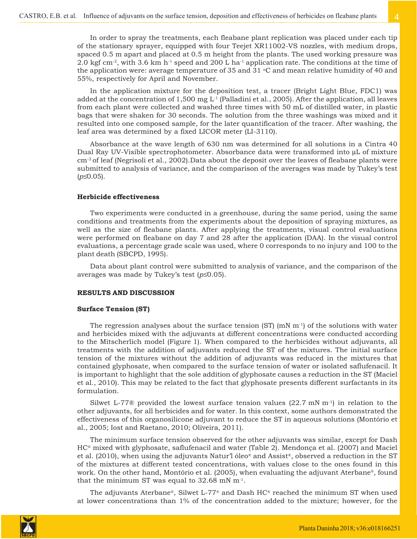In order to spray the treatments, each fleabane plant replication was placed under each tip of the stationary sprayer, equipped with four Teejet XR11002-VS nozzles, with medium drops, spaced 0.5 m apart and placed at 0.5 m height from the plants. The used working pressure was 2.0 kgf cm<sup>-2</sup>, with 3.6 km h<sup>-1</sup> speed and 200 L ha<sup>-1</sup> application rate. The conditions at the time of the application were: average temperature of 35 and 31  $\degree$ C and mean relative humidity of 40 and 55%, respectively for April and November.

In the application mixture for the deposition test, a tracer (Bright Light Blue, FDC1) was added at the concentration of 1,500 mg  $L^1$  (Palladini et al., 2005). After the application, all leaves from each plant were collected and washed three times with 50 mL of distilled water, in plastic bags that were shaken for 30 seconds. The solution from the three washings was mixed and it resulted into one composed sample, for the later quantification of the tracer. After washing, the leaf area was determined by a fixed LICOR meter (LI-3110).

Absorbance at the wave length of 630 nm was determined for all solutions in a Cintra 40 Dual Ray UV-Visible spectrophotometer. Absorbance data were transformed into μL of mixture cm-2 of leaf (Negrisoli et al., 2002).Data about the deposit over the leaves of fleabane plants were submitted to analysis of variance, and the comparison of the averages was made by Tukey's test (*p*≤0.05).

## **Herbicide effectiveness**

Two experiments were conducted in a greenhouse, during the same period, using the same conditions and treatments from the experiments about the deposition of spraying mixtures, as well as the size of fleabane plants. After applying the treatments, visual control evaluations were performed on fleabane on day 7 and 28 after the application (DAA). In the visual control evaluations, a percentage grade scale was used, where 0 corresponds to no injury and 100 to the plant death (SBCPD, 1995).

Data about plant control were submitted to analysis of variance, and the comparison of the averages was made by Tukey's test (*p*≤0.05).

## **RESULTS AND DISCUSSION**

#### **Surface Tension (ST)**

The regression analyses about the surface tension  $(ST)$  (mN  $m^{-1}$ ) of the solutions with water and herbicides mixed with the adjuvants at different concentrations were conducted according to the Mitscherlich model (Figure 1). When compared to the herbicides without adjuvants, all treatments with the addition of adjuvants reduced the ST of the mixtures. The initial surface tension of the mixtures without the addition of adjuvants was reduced in the mixtures that contained glyphosate, when compared to the surface tension of water or isolated saflufenacil. It is important to highlight that the sole addition of glyphosate causes a reduction in the ST (Maciel et al., 2010). This may be related to the fact that glyphosate presents different surfactants in its formulation.

Silwet L-77<sup>®</sup> provided the lowest surface tension values  $(22.7 \text{ mN m}^{-1})$  in relation to the other adjuvants, for all herbicides and for water. In this context, some authors demonstrated the effectiveness of this organosilicone adjuvant to reduce the ST in aqueous solutions (Montório et al., 2005; Iost and Raetano, 2010; Oliveira, 2011).

The minimum surface tension observed for the other adjuvants was similar, except for Dash HC® mixed with glyphosate, saflufenacil and water (Table 2). Mendonça et al. (2007) and Maciel et al. (2010), when using the adjuvants Natur'l óleo® and Assist®, observed a reduction in the ST of the mixtures at different tested concentrations, with values close to the ones found in this work. On the other hand, Montório et al. (2005), when evaluating the adjuvant Aterbane®, found that the minimum ST was equal to  $32.68$  mN m<sup>-1</sup>.

The adjuvants Aterbane®, Silwet L-77® and Dash  $HC^{\circ}$  reached the minimum ST when used at lower concentrations than 1% of the concentration added to the mixture; however, for the

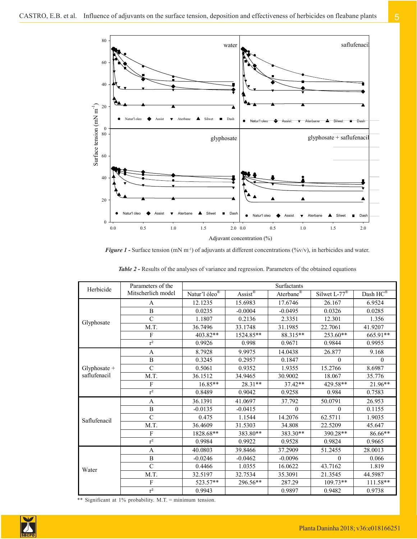

*Figure 1* - Surface tension (mN m<sup>-1</sup>) of adjuvants at different concentrations (%v/v), in herbicides and water.

| Herbicide    | Parameters of the         | Surfactants               |                                          |                       |                            |            |
|--------------|---------------------------|---------------------------|------------------------------------------|-----------------------|----------------------------|------------|
|              | Mitscherlich model        | Natur'l óleo <sup>®</sup> | $\text{Assist}^{\overline{\mathcal{R}}}$ | Aterbane <sup>®</sup> | Silwet L- $77^{\circledR}$ | Dash HC®   |
| Glyphosate   | A                         | 12.1235                   | 15.6983                                  | 17.6746               | 26.167                     | 6.9524     |
|              | $\overline{B}$            | 0.0235                    | $-0.0004$                                | $-0.0495$             | 0.0326                     | 0.0285     |
|              | $\mathcal{C}$             | 1.1807                    | 0.2136                                   | 2.3351                | 12.301                     | 1.356      |
|              | M.T.                      | 36.7496                   | 33.1748                                  | 31.1985               | 22.7061                    | 41.9207    |
|              | F                         | 403.82**                  | 1524.85**                                | 88.315**              | 253.60**                   | 665.91**   |
|              | $r^2$                     | 0.9926                    | 0.998                                    | 0.9671                | 0.9844                     | 0.9955     |
|              | A                         | 8.7928                    | 9.9975                                   | 14.0438               | 26.877                     | 9.168      |
|              | $\overline{B}$            | 0.3245                    | 0.2957                                   | 0.1847                | $\Omega$                   | $\Omega$   |
| Glyphosate + | $\mathcal{C}$             | 0.5061                    | 0.9352                                   | 1.9355                | 15.2766                    | 8.6987     |
| saflufenacil | M.T.                      | 36.1512                   | 34.9465                                  | 30.9002               | 18.067                     | 35.776     |
|              | F                         | 16.85**                   | 28.31**                                  | 37.42**               | 429.58**                   | 21.96**    |
|              | $r^2$                     | 0.8489                    | 0.9042                                   | 0.9258                | 0.984                      | 0.7583     |
|              | A                         | 36.1391                   | 41.0697                                  | 37.792                | 50.0791                    | 26.953     |
|              | $\mathbf B$               | $-0.0135$                 | $-0.0415$                                | $\theta$              | $\theta$                   | 0.1155     |
| Saflufenacil | $\overline{C}$            | 0.475                     | 1.1544                                   | 14.2076               | 62.5711                    | 1.9035     |
|              | M.T.                      | 36.4609                   | 31.5303                                  | 34.808                | 22.5209                    | 45.647     |
|              | F                         | 1828.68**                 | 383.80**                                 | 383.30**              | 390.28**                   | 86.66**    |
|              | $r^2$                     | 0.9984                    | 0.9922                                   | 0.9528                | 0.9824                     | 0.9665     |
|              | A                         | 40.0803                   | 39.8466                                  | 37.2909               | 51.2455                    | 28.0013    |
| Water        | B                         | $-0.0246$                 | $-0.0462$                                | $-0.0096$             | $\theta$                   | 0.066      |
|              | $\mathcal{C}$             | 0.4466                    | 1.0355                                   | 16.0622               | 43.7162                    | 1.819      |
|              | M.T.                      | 32.5197                   | 32.7534                                  | 35.3091               | 21.3545                    | 44.5987    |
|              | $\boldsymbol{\mathrm{F}}$ | 523.57**                  | 296.56**                                 | 287.29                | $109.73**$                 | $111.58**$ |
|              | $\rm r^2$                 | 0.9943                    |                                          | 0.9897                | 0.9482                     | 0.9738     |

*Table 2 -* Results of the analyses of variance and regression. Parameters of the obtained equations

\*\* Significant at 1% probability. M.T. = minimum tension.

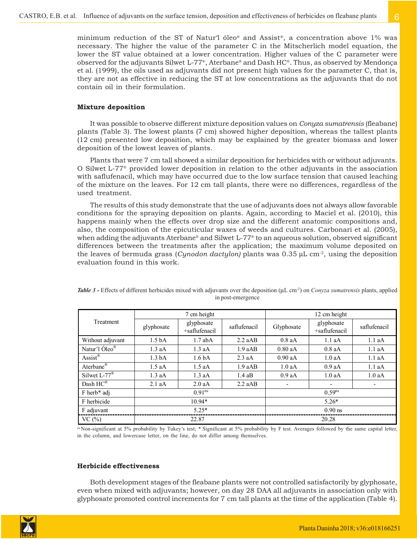minimum reduction of the ST of Natur'l óleo® and Assist®, a concentration above 1% was necessary. The higher the value of the parameter C in the Mitscherlich model equation, the lower the ST value obtained at a lower concentration. Higher values of the C parameter were observed for the adjuvants Silwet L-77®, Aterbane® and Dash HC®. Thus, as observed by Mendonça et al. (1999), the oils used as adjuvants did not present high values for the parameter C, that is, they are not as effective in reducing the ST at low concentrations as the adjuvants that do not contain oil in their formulation.

### **Mixture deposition**

It was possible to observe different mixture deposition values on *Conyza sumatrensis* (fleabane) plants (Table 3). The lowest plants (7 cm) showed higher deposition, whereas the tallest plants (12 cm) presented low deposition, which may be explained by the greater biomass and lower deposition of the lowest leaves of plants.

Plants that were 7 cm tall showed a similar deposition for herbicides with or without adjuvants. O Silwet L-77® provided lower deposition in relation to the other adjuvants in the association with saflufenacil, which may have occurred due to the low surface tension that caused leaching of the mixture on the leaves. For 12 cm tall plants, there were no differences, regardless of the used treatment.

The results of this study demonstrate that the use of adjuvants does not always allow favorable conditions for the spraying deposition on plants. Again, according to Maciel et al. (2010), this happens mainly when the effects over drop size and the different anatomic compositions and, also, the composition of the epicuticular waxes of weeds and cultures. Carbonari et al. (2005), when adding the adjuvants Aterbane® and Silwet L-77® to an aqueous solution, observed significant differences between the treatments after the application; the maximum volume deposited on the leaves of bermuda grass (*Cynodon dactylon)* plants was 0.35 μL cm-2, using the deposition evaluation found in this work.

| Treatment                 | 7 cm height        |                             |              | 12 cm height |                             |              |  |
|---------------------------|--------------------|-----------------------------|--------------|--------------|-----------------------------|--------------|--|
|                           | glyphosate         | glyphosate<br>+saflufenacil | saflufenacil | Glyphosate   | glyphosate<br>+saflufenacil | saflufenacil |  |
| Without adjuvant          | 1.5 <sub>bA</sub>  | $1.7$ ab $\overline{A}$     | 2.2 aAB      | $0.8$ aA     | 1.1aA                       | 1.1aA        |  |
| Natur'l Óleo <sup>®</sup> | $1.3$ aA           | $1.3$ aA                    | 1.9aAB       | $0.80$ aA    | $0.8$ aA                    | 1.1aA        |  |
| Assist <sup>®</sup>       | 1.3 <sub>bA</sub>  | 1.6 <sub>bA</sub>           | $2.3$ aA     | $0.90$ aA    | 1.0aA                       | 1.1aA        |  |
| Aterbane®                 | $1.5$ aA           | $1.5$ aA                    | 1.9aAB       | 1.0aA        | 0.9aA                       | 1.1aA        |  |
| Silwet $L-77^{\circledR}$ | $1.3$ aA           | 1.3 aA                      | $1.4$ aB     | 0.9 aA       | 1.0aA                       | 1.0aA        |  |
| Dash HC®                  | 2.1aA              | 2.0 aA                      | $2.2$ aAB    |              |                             |              |  |
| F herb* adj               | 0.91 <sup>ns</sup> |                             |              | $0.59^{ns}$  |                             |              |  |
| F herbicide               | $10.94*$           |                             |              | $5.26*$      |                             |              |  |
| F adjuvant                | $5.25*$            |                             |              | $0.90$ ns    |                             |              |  |
| VC(%)                     | 22.87              |                             |              | 20.28        |                             |              |  |

*Table 3 -* Effects of different herbicides mixed with adjuvants over the deposition (μL cm-2) on *Conyza sumatrensis* plants, applied in post-emergence

ns Non-significant at 5% probability by Tukey's test; \* Significant at 5% probability by F test. Averages followed by the same capital letter, in the column, and lowercase letter, on the line, do not differ among themselves.

#### **Herbicide effectiveness**

Both development stages of the fleabane plants were not controlled satisfactorily by glyphosate, even when mixed with adjuvants; however, on day 28 DAA all adjuvants in association only with glyphosate promoted control increments for 7 cm tall plants at the time of the application (Table 4).

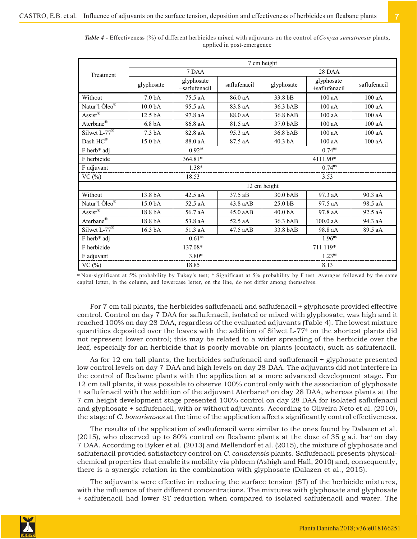|                                   | 7 cm height          |                             |              |                      |                             |              |  |
|-----------------------------------|----------------------|-----------------------------|--------------|----------------------|-----------------------------|--------------|--|
| Treatment                         | 7 DAA                |                             |              | 28 DAA               |                             |              |  |
|                                   | glyphosate           | glyphosate<br>+saflufenacil | saflufenacil | glyphosate           | glyphosate<br>+saflufenacil | saflufenacil |  |
| Without                           | 7.0 <sub>bA</sub>    | 75.5 aA                     | 86.0 aA      | 33.8 bB              | 100aA                       | 100aA        |  |
| Natur'l Óleo®                     | 10.0 <sub>bA</sub>   | 95.5 aA                     | 83.8 aA      | 36.3 bAB             | 100aA                       | 100aA        |  |
| $\overline{Assist}^{\mathcal{R}}$ | 12.5 bA              | 97.8 aA                     | 88.0 aA      | 36.8 bAB             | 100aA                       | 100aA        |  |
| Aterbane <sup>®</sup>             | 6.8 <sub>bA</sub>    | 86.8 aA                     | 81.5 aA      | 37.0 bAB             | 100aA                       | 100aA        |  |
| Silwet $L-77^{\circledR}$         | 7.3 <sub>bA</sub>    | 82.8 aA                     | 95.3 aA      | 36.8 bAB             | 100aA                       | 100aA        |  |
| Dash $HC^{\overline{\otimes}}$    | 15.0 bA              | 88.0 aA                     | 87.5 aA      | 40.3 bA              | 100 aA                      | 100 aA       |  |
| F herb* adj                       | $0.92$ <sup>ns</sup> |                             |              | $0.74$ <sup>ns</sup> |                             |              |  |
| F herbicide                       | 364.81*              |                             |              | 4111.90*             |                             |              |  |
| F adjuvant                        | $1.38*$              |                             |              | $0.74^{ns}$          |                             |              |  |
| VC(%)                             | 18.53                |                             |              | 3.53                 |                             |              |  |
|                                   | 12 cm height         |                             |              |                      |                             |              |  |
| Without                           | 13.8 bA              | 42.5 aA                     | 37.5 aB      | 30.0 bAB             | 97.3 aA                     | 90.3 aA      |  |
| Natur'l Óleo®                     | 15.0 bA              | 52.5 aA                     | $43.8$ aAB   | 25.0 bB              | 97.5 aA                     | 98.5 aA      |  |
| $\text{Assist}^{\circledR}$       | 18.8 bA              | 56.7 aA                     | 45.0 aAB     | 40.0 bA              | 97.8 aA                     | 92.5 aA      |  |
| Aterbane <sup>®</sup>             | 18.8 bA              | 53.8 aA                     | 52.5 aA      | 36.3 bAB             | 100.0 aA                    | 94.3 aA      |  |
| Silwet $L-77^{\circ}$             | 16.3 bA              | 51.3 aA                     | 47.5 aAB     | 33.8 bAB             | 98.8 aA                     | 89.5 aA      |  |
| F herb* adj                       | 0.61 <sup>ns</sup>   |                             |              | $1.96$ <sup>ns</sup> |                             |              |  |
| F herbicide                       | 137.08*              |                             |              | 711.119*             |                             |              |  |
| F adjuvant                        | $3.80*$              |                             |              | $1.23^{ns}$          |                             |              |  |
| VC(%)                             | 18.85                |                             | 8.13         |                      |                             |              |  |

*Table 4 -* Effectiveness (%) of different herbicides mixed with adjuvants on the control of*Conyza sumatrensis* plants, applied in post-emergence

ns Non-significant at 5% probability by Tukey's test; \* Significant at 5% probability by F test. Averages followed by the same capital letter, in the column, and lowercase letter, on the line, do not differ among themselves.

For 7 cm tall plants, the herbicides saflufenacil and saflufenacil + glyphosate provided effective control. Control on day 7 DAA for saflufenacil, isolated or mixed with glyphosate, was high and it reached 100% on day 28 DAA, regardless of the evaluated adjuvants (Table 4). The lowest mixture quantities deposited over the leaves with the addition of Silwet L-77® on the shortest plants did not represent lower control; this may be related to a wider spreading of the herbicide over the leaf, especially for an herbicide that is poorly movable on plants (contact), such as saflufenacil.

As for 12 cm tall plants, the herbicides saflufenacil and saflufenacil + glyphosate presented low control levels on day 7 DAA and high levels on day 28 DAA. The adjuvants did not interfere in the control of fleabane plants with the application at a more advanced development stage. For 12 cm tall plants, it was possible to observe 100% control only with the association of glyphosate + saflufenacil with the addition of the adjuvant Aterbane® on day 28 DAA, whereas plants at the 7 cm height development stage presented 100% control on day 28 DAA for isolated saflufenacil and glyphosate + saflufenacil, with or without adjuvants. According to Oliveira Neto et al. (2010), the stage of *C. bonarienses* at the time of the application affects significantly control effectiveness.

The results of the application of saflufenacil were similar to the ones found by Dalazen et al.  $(2015)$ , who observed up to 80% control on fleabane plants at the dose of 35 g a.i. ha<sup>-1</sup> on day 7 DAA. According to Byker et al. (2013) and Mellendorf et al. (2015), the mixture of glyphosate and saflufenacil provided satisfactory control on *C. canadensis* plants. Saflufenacil presents physicalchemical properties that enable its mobility via phloem (Ashigh and Hall, 2010) and, consequently, there is a synergic relation in the combination with glyphosate (Dalazen et al., 2015).

The adjuvants were effective in reducing the surface tension (ST) of the herbicide mixtures, with the influence of their different concentrations. The mixtures with glyphosate and glyphosate + saflufenacil had lower ST reduction when compared to isolated saflufenacil and water. The

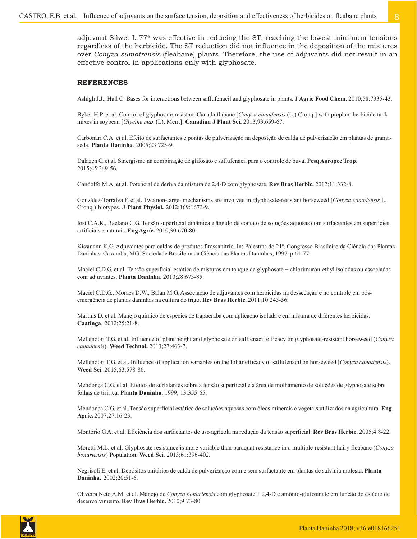adjuvant Silwet L-77® was effective in reducing the ST, reaching the lowest minimum tensions regardless of the herbicide. The ST reduction did not influence in the deposition of the mixtures over *Conyza sumatrensis* (fleabane) plants. Therefore, the use of adjuvants did not result in an effective control in applications only with glyphosate.

#### **REFERENCES**

Ashigh J.J., Hall C. Bases for interactions between saflufenacil and glyphosate in plants. **J Agric Food Chem.** 2010;58:7335-43.

Byker H.P. et al. Control of glyphosate-resistant Canada flabane [*Conyza canadensis* (L.) Cronq.] with preplant herbicide tank mixes in soybean [*Glycine max* (L). Merr.]. **Canadian J Plant Sci.** 2013;93:659-67.

Carbonari C.A. et al. Efeito de surfactantes e pontas de pulverização na deposição de calda de pulverização em plantas de gramaseda. **Planta Daninha**. 2005;23:725-9.

Dalazen G. et al. Sinergismo na combinação de glifosato e saflufenacil para o controle de buva. **Pesq Agropec Trop**. 2015;45:249-56.

Gandolfo M.A. et al. Potencial de deriva da mistura de 2,4-D com glyphosate. **Rev Bras Herbic.** 2012;11:332-8.

González-Torralva F. et al. Two non-target mechanisms are involved in glyphosate-resistant horseweed (*Conyza canadensis* L. Cronq.) biotypes. **J Plant Physiol.** 2012;169:1673-9.

Iost C.A.R., Raetano C.G. Tensão superficial dinâmica e ângulo de contato de soluções aquosas com surfactantes em superfícies artificiais e naturais. **Eng Agríc.** 2010;30:670-80.

Kissmann K.G. Adjuvantes para caldas de produtos fitossanitrio. In: Palestras do 21ª. Congresso Brasileiro da Ciência das Plantas Daninhas. Caxambu, MG: Sociedade Brasileira da Ciência das Plantas Daninhas; 1997. p.61-77.

Maciel C.D.G. et al. Tensão superficial estática de misturas em tanque de glyphosate + chlorimuron-ethyl isoladas ou associadas com adjuvantes. **Planta Daninha**. 2010;28:673-85.

Maciel C.D.G., Moraes D.W., Balan M.G. Associação de adjuvantes com herbicidas na dessecação e no controle em pósemergência de plantas daninhas na cultura do trigo. **Rev Bras Herbic.** 2011;10:243-56.

Martins D. et al. Manejo químico de espécies de trapoeraba com aplicação isolada e em mistura de diferentes herbicidas. **Caatinga**. 2012;25:21-8.

Mellendorf T.G. et al. Influence of plant height and glyphosate on saflfenacil efficacy on glyphosate-resistant horseweed (*Conyza canadensis*). **Weed Technol.** 2013;27:463-7.

Mellendorf T.G. et al. Influence of application variables on the foliar efficacy of saflufenacil on horseweed (*Conyza canadensis*). **Weed Sci**. 2015;63:578-86.

Mendonça C.G. et al. Efeitos de surfatantes sobre a tensão superficial e a área de molhamento de soluções de glyphosate sobre folhas de tiririca. **Planta Daninha**. 1999; 13:355-65.

Mendonça C.G. et al. Tensão superficial estática de soluções aquosas com óleos minerais e vegetais utilizados na agricultura. **Eng Agríc.** 2007;27:16-23.

Montório G.A. et al. Eficiência dos surfactantes de uso agrícola na redução da tensão superficial. **Rev Bras Herbic.** 2005;4:8-22.

Moretti M.L. et al. Glyphosate resistance is more variable than paraquat resistance in a multiple-resistant hairy fleabane (*Conyza bonariensis*) Population. **Weed Sci**. 2013;61:396-402.

Negrisoli E. et al. Depósitos unitários de calda de pulverização com e sem surfactante em plantas de salvinia molesta. **Planta Daninha**. 2002;20:51-6.

Oliveira Neto A.M. et al. Manejo de *Conyza bonariensis* com glyphosate + 2,4-D e amônio-glufosinate em função do estádio de desenvolvimento. **Rev Bras Herbic.** 2010;9:73-80.